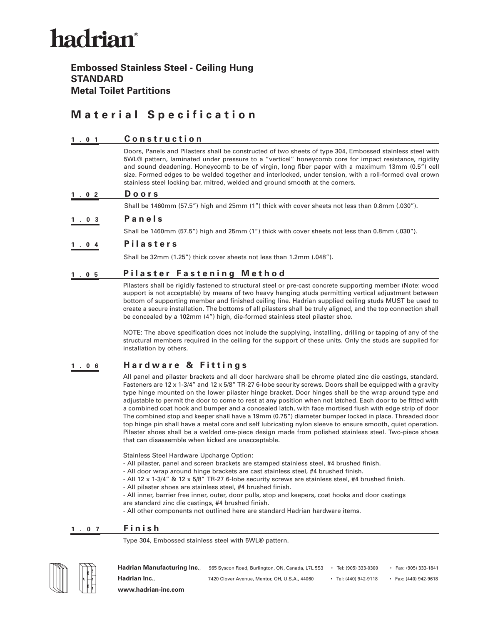# hadrian®

### **Embossed Stainless Steel - Ceiling Hung STANDARD Metal Toilet Partitions**

### **Material Specification**

#### **1.01 Construction**

Doors, Panels and Pilasters shall be constructed of two sheets of type 304, Embossed stainless steel with 5WL® pattern, laminated under pressure to a "verticel" honeycomb core for impact resistance, rigidity and sound deadening. Honeycomb to be of virgin, long fiber paper with a maximum 13mm (0.5") cell size. Formed edges to be welded together and interlocked, under tension, with a roll-formed oval crown stainless steel locking bar, mitred, welded and ground smooth at the corners.

#### **1.02 Doors**

Shall be 1460mm (57.5") high and 25mm (1") thick with cover sheets not less than 0.8mm (.030").

#### **1.03 Panels**

Shall be 1460mm (57.5") high and 25mm (1") thick with cover sheets not less than 0.8mm (.030").

#### **1.04 Pilasters**

Shall be 32mm (1.25") thick cover sheets not less than 1.2mm (.048").

#### 1.05 **Pilaster Fastening Method**

Pilasters shall be rigidly fastened to structural steel or pre-cast concrete supporting member (Note: wood support is not acceptable) by means of two heavy hanging studs permitting vertical adjustment between bottom of supporting member and finished ceiling line. Hadrian supplied ceiling studs MUST be used to create a secure installation. The bottoms of all pilasters shall be truly aligned, and the top connection shall be concealed by a 102mm (4") high, die-formed stainless steel pilaster shoe.

NOTE: The above specification does not include the supplying, installing, drilling or tapping of any of the structural members required in the ceiling for the support of these units. Only the studs are supplied for installation by others.

#### **1.06 Hardware & Fittings**

All panel and pilaster brackets and all door hardware shall be chrome plated zinc die castings, standard. Fasteners are 12 x 1-3/4" and 12 x 5/8" TR-27 6-lobe security screws. Doors shall be equipped with a gravity type hinge mounted on the lower pilaster hinge bracket. Door hinges shall be the wrap around type and adjustable to permit the door to come to rest at any position when not latched. Each door to be fitted with a combined coat hook and bumper and a concealed latch, with face mortised flush with edge strip of door The combined stop and keeper shall have a 19mm (0.75") diameter bumper locked in place. Threaded door top hinge pin shall have a metal core and self lubricating nylon sleeve to ensure smooth, quiet operation. Pilaster shoes shall be a welded one-piece design made from polished stainless steel. Two-piece shoes that can disassemble when kicked are unacceptable.

Stainless Steel Hardware Upcharge Option:

- All pilaster, panel and screen brackets are stamped stainless steel, #4 brushed finish.
- All door wrap around hinge brackets are cast stainless steel, #4 brushed finish.
- All 12 x 1-3/4" & 12 x 5/8" TR-27 6-lobe security screws are stainless steel, #4 brushed finish.
- All pilaster shoes are stainless steel, #4 brushed finish.

- All inner, barrier free inner, outer, door pulls, stop and keepers, coat hooks and door castings are standard zinc die castings, #4 brushed finish.

- All other components not outlined here are standard Hadrian hardware items.

#### **1.07 Finish**

Type 304, Embossed stainless steel with 5WL® pattern.



Hadrian Manufacturing Inc., 965 Syscon Road, Burlington, ON, Canada, L7L 5S3 • Tel: (905) 333-0300 • Fax: (905) 333-1841 **Hadrian Inc.**, 7420 Clover Avenue, Mentor, OH, U.S.A., 44060 • Tel: (440) 942-9118 • Fax: (440) 942-9618 **www.hadrian-inc.com**